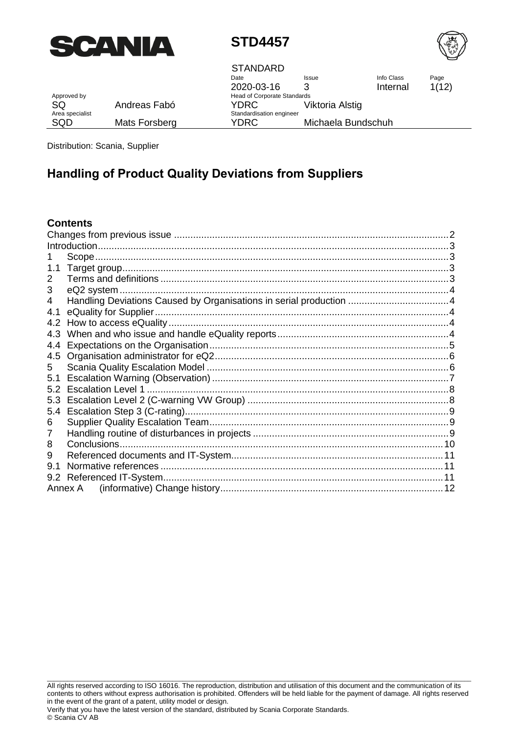



Approved by Approved by Approximate Standards and December 2012 and December 2012 and December 2014 and December 2014 and December 2014 and December 2014 and December 2014 and December 2014 and December 2014 and December 2

Date 2020-03-16 Issue 3 Info Class Internal YDRC Viktoria Alstig Standardisation engineer YDRC Michaela Bundschuh **STANDARD** 

Page 1(12)

| Approved by<br>SQ.     | Andreas Fabó  |
|------------------------|---------------|
| Area specialist<br>SOD | Mats Forsberg |

Distribution: Scania, Supplier

# **Handling of Product Quality Deviations from Suppliers**

### **Contents**

| eQ2 system |                       |
|------------|-----------------------|
|            |                       |
|            |                       |
|            |                       |
|            |                       |
|            |                       |
|            |                       |
|            |                       |
|            |                       |
|            |                       |
|            |                       |
|            |                       |
|            |                       |
|            |                       |
|            |                       |
|            |                       |
|            |                       |
|            |                       |
|            |                       |
|            | Normative references. |

All rights reserved according to ISO 16016. The reproduction, distribution and utilisation of this document and the communication of its contents to others without express authorisation is prohibited. Offenders will be held liable for the payment of damage. All rights reserved in the event of the grant of a patent, utility model or design.

\_\_\_\_\_\_\_\_\_\_\_\_\_\_\_\_\_\_\_\_\_\_\_\_\_\_\_\_\_\_\_\_\_\_\_\_\_\_\_\_\_\_\_\_\_\_\_\_\_\_\_\_\_\_\_\_\_\_\_\_\_\_\_\_\_\_\_\_\_\_\_\_\_\_\_\_\_\_\_\_\_\_\_\_\_\_\_\_\_\_\_\_\_\_\_\_\_\_\_\_\_\_\_\_\_\_\_\_\_\_\_\_\_\_\_\_\_\_\_\_\_\_\_\_\_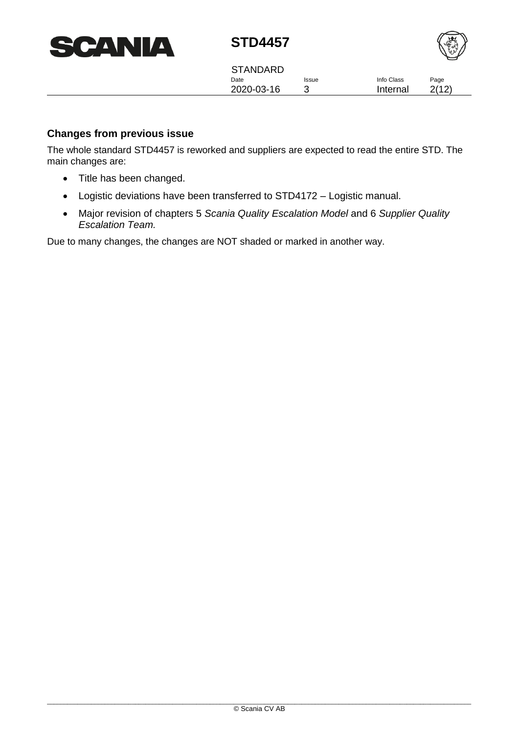| <b>SCANIA</b> |
|---------------|
|---------------|



Date 2020-03-16 Issue 3 Info Class Internal STANDARD

Page 2(12)

### <span id="page-1-0"></span>**Changes from previous issue**

The whole standard STD4457 is reworked and suppliers are expected to read the entire STD. The main changes are:

- Title has been changed.
- Logistic deviations have been transferred to STD4172 Logistic manual.
- Major revision of chapters [5](#page-5-1) *[Scania Quality Escalation Model](#page-5-1)* and [6](#page-8-1) *[Supplier](#page-8-1) Quality [Escalation Team.](#page-8-1)*

Due to many changes, the changes are NOT shaded or marked in another way.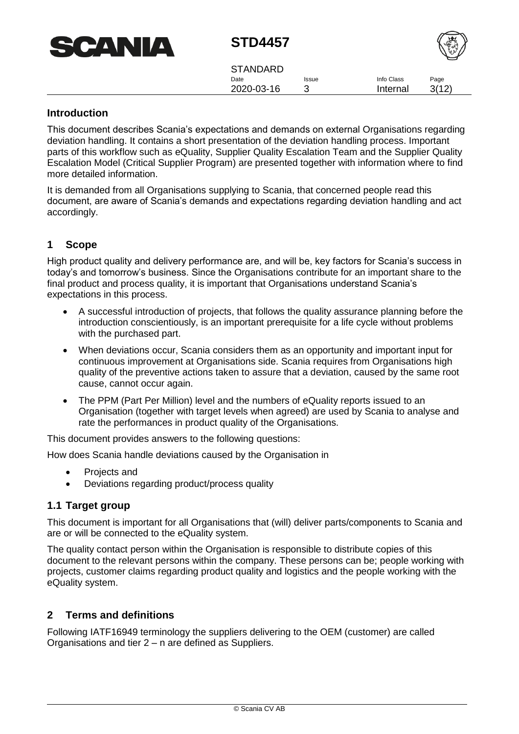| <b>CANIA</b><br><b>AND</b><br>$\blacksquare$ |
|----------------------------------------------|
|----------------------------------------------|



| <b>STANDARD</b> |              |            |       |
|-----------------|--------------|------------|-------|
| Date            | <b>Issue</b> | Info Class | Page  |
| 2020-03-16      |              | Internal   | 3(12) |

### <span id="page-2-0"></span>**Introduction**

This document describes Scania's expectations and demands on external Organisations regarding deviation handling. It contains a short presentation of the deviation handling process. Important parts of this workflow such as eQuality, Supplier Quality Escalation Team and the Supplier Quality Escalation Model (Critical Supplier Program) are presented together with information where to find more detailed information.

It is demanded from all Organisations supplying to Scania, that concerned people read this document, are aware of Scania's demands and expectations regarding deviation handling and act accordingly.

### <span id="page-2-1"></span>**1 Scope**

High product quality and delivery performance are, and will be, key factors for Scania's success in today's and tomorrow's business. Since the Organisations contribute for an important share to the final product and process quality, it is important that Organisations understand Scania's expectations in this process.

- A successful introduction of projects, that follows the quality assurance planning before the introduction conscientiously, is an important prerequisite for a life cycle without problems with the purchased part.
- When deviations occur, Scania considers them as an opportunity and important input for continuous improvement at Organisations side. Scania requires from Organisations high quality of the preventive actions taken to assure that a deviation, caused by the same root cause, cannot occur again.
- The PPM (Part Per Million) level and the numbers of eQuality reports issued to an Organisation (together with target levels when agreed) are used by Scania to analyse and rate the performances in product quality of the Organisations.

This document provides answers to the following questions:

How does Scania handle deviations caused by the Organisation in

- Projects and
- Deviations regarding product/process quality

### <span id="page-2-2"></span>**1.1 Target group**

This document is important for all Organisations that (will) deliver parts/components to Scania and are or will be connected to the eQuality system.

The quality contact person within the Organisation is responsible to distribute copies of this document to the relevant persons within the company. These persons can be; people working with projects, customer claims regarding product quality and logistics and the people working with the eQuality system.

### <span id="page-2-3"></span>**2 Terms and definitions**

Following IATF16949 terminology the suppliers delivering to the OEM (customer) are called Organisations and tier 2 – n are defined as Suppliers.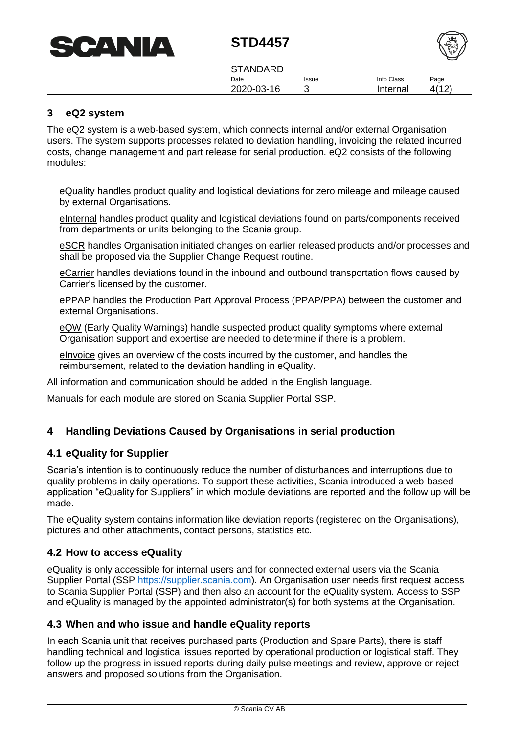



Date 2020-03-16 Issue 3 Info Class Internal Page 4(12) **STANDARD** 

### <span id="page-3-0"></span>**3 eQ2 system**

The eQ2 system is a web-based system, which connects internal and/or external Organisation users. The system supports processes related to deviation handling, invoicing the related incurred costs, change management and part release for serial production. eQ2 consists of the following modules:

eQuality handles product quality and logistical deviations for zero mileage and mileage caused by external Organisations.

eInternal handles product quality and logistical deviations found on parts/components received from departments or units belonging to the Scania group.

eSCR handles Organisation initiated changes on earlier released products and/or processes and shall be proposed via the Supplier Change Request routine.

eCarrier handles deviations found in the inbound and outbound transportation flows caused by Carrier's licensed by the customer.

ePPAP handles the Production Part Approval Process (PPAP/PPA) between the customer and external Organisations.

eQW (Early Quality Warnings) handle suspected product quality symptoms where external Organisation support and expertise are needed to determine if there is a problem.

eInvoice gives an overview of the costs incurred by the customer, and handles the reimbursement, related to the deviation handling in eQuality.

All information and communication should be added in the English language.

<span id="page-3-1"></span>Manuals for each module are stored on Scania Supplier Portal SSP.

### **4 Handling Deviations Caused by Organisations in serial production**

#### <span id="page-3-2"></span>**4.1 eQuality for Supplier**

Scania's intention is to continuously reduce the number of disturbances and interruptions due to quality problems in daily operations. To support these activities, Scania introduced a web-based application "eQuality for Suppliers" in which module deviations are reported and the follow up will be made.

The eQuality system contains information like deviation reports (registered on the Organisations), pictures and other attachments, contact persons, statistics etc.

#### <span id="page-3-3"></span>**4.2 How to access eQuality**

eQuality is only accessible for internal users and for connected external users via the Scania Supplier Portal (SSP [https://supplier.scania.com\)](https://supplier.scania.com/). An Organisation user needs first request access to Scania Supplier Portal (SSP) and then also an account for the eQuality system. Access to SSP and eQuality is managed by the appointed administrator(s) for both systems at the Organisation.

#### <span id="page-3-4"></span>**4.3 When and who issue and handle eQuality reports**

In each Scania unit that receives purchased parts (Production and Spare Parts), there is staff handling technical and logistical issues reported by operational production or logistical staff. They follow up the progress in issued reports during daily pulse meetings and review, approve or reject answers and proposed solutions from the Organisation.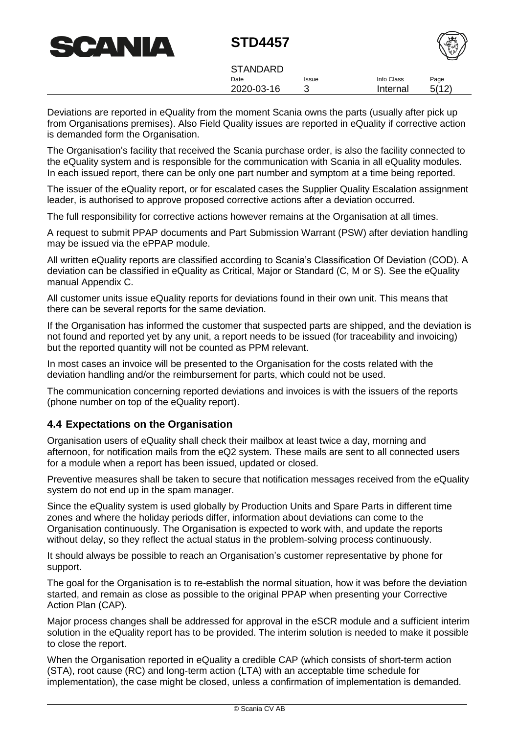

Date 2020-03-16 Issue 3 Info Class Internal Page 5(12) **STANDARD** 

Deviations are reported in eQuality from the moment Scania owns the parts (usually after pick up from Organisations premises). Also Field Quality issues are reported in eQuality if corrective action is demanded form the Organisation.

The Organisation's facility that received the Scania purchase order, is also the facility connected to the eQuality system and is responsible for the communication with Scania in all eQuality modules. In each issued report, there can be only one part number and symptom at a time being reported.

The issuer of the eQuality report, or for escalated cases the Supplier Quality Escalation assignment leader, is authorised to approve proposed corrective actions after a deviation occurred.

The full responsibility for corrective actions however remains at the Organisation at all times.

A request to submit PPAP documents and Part Submission Warrant (PSW) after deviation handling may be issued via the ePPAP module.

All written eQuality reports are classified according to Scania's Classification Of Deviation (COD). A deviation can be classified in eQuality as Critical, Major or Standard (C, M or S). See the eQuality manual Appendix C.

All customer units issue eQuality reports for deviations found in their own unit. This means that there can be several reports for the same deviation.

If the Organisation has informed the customer that suspected parts are shipped, and the deviation is not found and reported yet by any unit, a report needs to be issued (for traceability and invoicing) but the reported quantity will not be counted as PPM relevant.

In most cases an invoice will be presented to the Organisation for the costs related with the deviation handling and/or the reimbursement for parts, which could not be used.

The communication concerning reported deviations and invoices is with the issuers of the reports (phone number on top of the eQuality report).

### <span id="page-4-0"></span>**4.4 Expectations on the Organisation**

Organisation users of eQuality shall check their mailbox at least twice a day, morning and afternoon, for notification mails from the eQ2 system. These mails are sent to all connected users for a module when a report has been issued, updated or closed.

Preventive measures shall be taken to secure that notification messages received from the eQuality system do not end up in the spam manager.

Since the eQuality system is used globally by Production Units and Spare Parts in different time zones and where the holiday periods differ, information about deviations can come to the Organisation continuously. The Organisation is expected to work with, and update the reports without delay, so they reflect the actual status in the problem-solving process continuously.

It should always be possible to reach an Organisation's customer representative by phone for support.

The goal for the Organisation is to re-establish the normal situation, how it was before the deviation started, and remain as close as possible to the original PPAP when presenting your Corrective Action Plan (CAP).

Major process changes shall be addressed for approval in the eSCR module and a sufficient interim solution in the eQuality report has to be provided. The interim solution is needed to make it possible to close the report.

When the Organisation reported in eQuality a credible CAP (which consists of short-term action (STA), root cause (RC) and long-term action (LTA) with an acceptable time schedule for implementation), the case might be closed, unless a confirmation of implementation is demanded.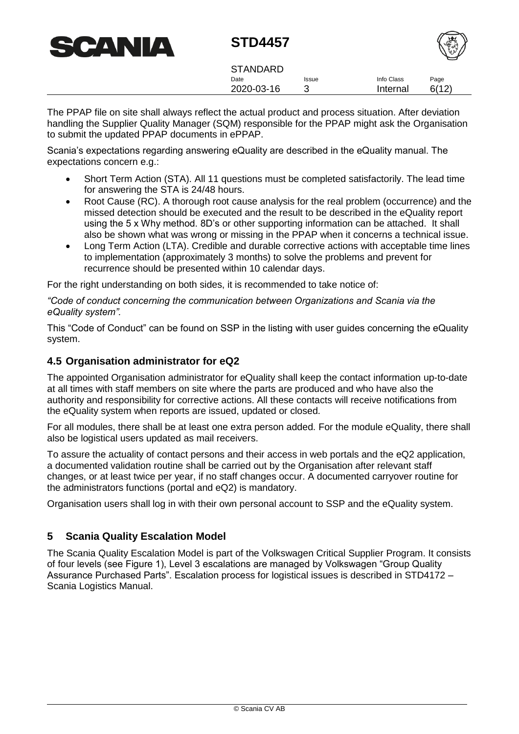

|      |            | W    |
|------|------------|------|
| ssue | Info Class | Page |

Date 2020-03-16 Issue 3 Internal 6(12) **STANDARD** 

The PPAP file on site shall always reflect the actual product and process situation. After deviation handling the Supplier Quality Manager (SQM) responsible for the PPAP might ask the Organisation to submit the updated PPAP documents in ePPAP.

Scania's expectations regarding answering eQuality are described in the eQuality manual. The expectations concern e.g.:

- Short Term Action (STA). All 11 questions must be completed satisfactorily. The lead time for answering the STA is 24/48 hours.
- Root Cause (RC). A thorough root cause analysis for the real problem (occurrence) and the missed detection should be executed and the result to be described in the eQuality report using the 5 x Why method. 8D's or other supporting information can be attached. It shall also be shown what was wrong or missing in the PPAP when it concerns a technical issue.
- Long Term Action (LTA). Credible and durable corrective actions with acceptable time lines to implementation (approximately 3 months) to solve the problems and prevent for recurrence should be presented within 10 calendar days.

For the right understanding on both sides, it is recommended to take notice of:

*"Code of conduct concerning the communication between Organizations and Scania via the eQuality system".*

This "Code of Conduct" can be found on SSP in the listing with user guides concerning the eQuality system.

### <span id="page-5-0"></span>**4.5 Organisation administrator for eQ2**

The appointed Organisation administrator for eQuality shall keep the contact information up-to-date at all times with staff members on site where the parts are produced and who have also the authority and responsibility for corrective actions. All these contacts will receive notifications from the eQuality system when reports are issued, updated or closed.

For all modules, there shall be at least one extra person added. For the module eQuality, there shall also be logistical users updated as mail receivers.

To assure the actuality of contact persons and their access in web portals and the eQ2 application, a documented validation routine shall be carried out by the Organisation after relevant staff changes, or at least twice per year, if no staff changes occur. A documented carryover routine for the administrators functions (portal and eQ2) is mandatory.

<span id="page-5-1"></span>Organisation users shall log in with their own personal account to SSP and the eQuality system.

### **5 Scania Quality Escalation Model**

The Scania Quality Escalation Model is part of the Volkswagen Critical Supplier Program. It consists of four levels (see Figure 1), Level 3 escalations are managed by Volkswagen "Group Quality Assurance Purchased Parts". Escalation process for logistical issues is described in STD4172 – Scania Logistics Manual.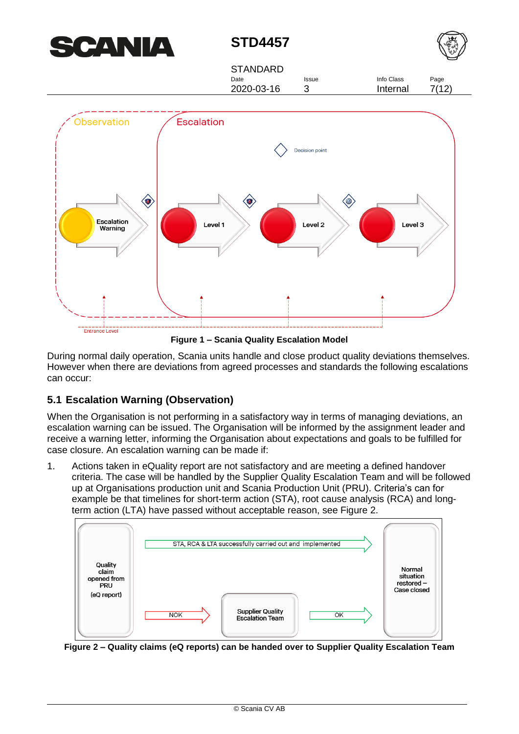



Date 2020-03-16 Issue **STANDARD** 





**Figure 1 – Scania Quality Escalation Model**

During normal daily operation, Scania units handle and close product quality deviations themselves. However when there are deviations from agreed processes and standards the following escalations can occur:

# <span id="page-6-0"></span>**5.1 Escalation Warning (Observation)**

When the Organisation is not performing in a satisfactory way in terms of managing deviations, an escalation warning can be issued. The Organisation will be informed by the assignment leader and receive a warning letter, informing the Organisation about expectations and goals to be fulfilled for case closure. An escalation warning can be made if:

1. Actions taken in eQuality report are not satisfactory and are meeting a defined handover criteria. The case will be handled by the Supplier Quality Escalation Team and will be followed up at Organisations production unit and Scania Production Unit (PRU). Criteria's can for example be that timelines for short-term action (STA), root cause analysis (RCA) and longterm action (LTA) have passed without acceptable reason, see Figure 2.



**Figure 2 – Quality claims (eQ reports) can be handed over to Supplier Quality Escalation Team**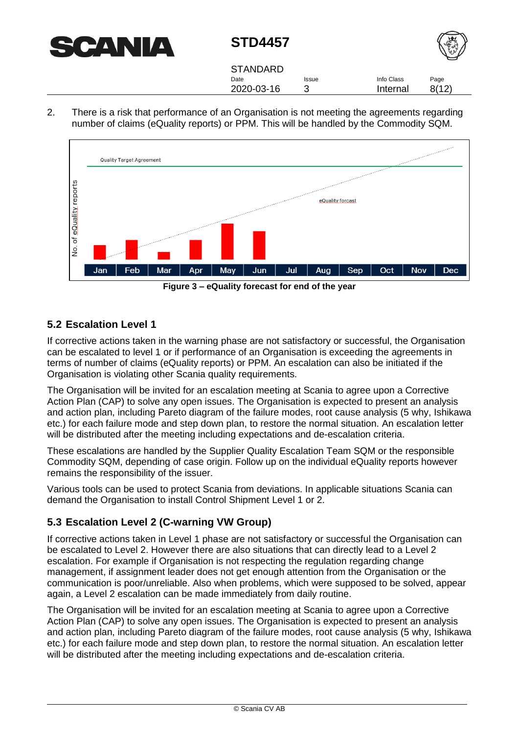



| <b>STANDARD</b> |              |            |       |
|-----------------|--------------|------------|-------|
| Date            | <b>Issue</b> | Info Class | Page  |
| 2020-03-16      |              | Internal   | 8(12) |

2. There is a risk that performance of an Organisation is not meeting the agreements regarding number of claims (eQuality reports) or PPM. This will be handled by the Commodity SQM.



**Figure 3 – eQuality forecast for end of the year** 

### <span id="page-7-0"></span>**5.2 Escalation Level 1**

If corrective actions taken in the warning phase are not satisfactory or successful, the Organisation can be escalated to level 1 or if performance of an Organisation is exceeding the agreements in terms of number of claims (eQuality reports) or PPM. An escalation can also be initiated if the Organisation is violating other Scania quality requirements.

The Organisation will be invited for an escalation meeting at Scania to agree upon a Corrective Action Plan (CAP) to solve any open issues. The Organisation is expected to present an analysis and action plan, including Pareto diagram of the failure modes, root cause analysis (5 why, Ishikawa etc.) for each failure mode and step down plan, to restore the normal situation. An escalation letter will be distributed after the meeting including expectations and de-escalation criteria.

These escalations are handled by the Supplier Quality Escalation Team SQM or the responsible Commodity SQM, depending of case origin. Follow up on the individual eQuality reports however remains the responsibility of the issuer.

Various tools can be used to protect Scania from deviations. In applicable situations Scania can demand the Organisation to install Control Shipment Level 1 or 2.

### <span id="page-7-1"></span>**5.3 Escalation Level 2 (C-warning VW Group)**

If corrective actions taken in Level 1 phase are not satisfactory or successful the Organisation can be escalated to Level 2. However there are also situations that can directly lead to a Level 2 escalation. For example if Organisation is not respecting the regulation regarding change management, if assignment leader does not get enough attention from the Organisation or the communication is poor/unreliable. Also when problems, which were supposed to be solved, appear again, a Level 2 escalation can be made immediately from daily routine.

The Organisation will be invited for an escalation meeting at Scania to agree upon a Corrective Action Plan (CAP) to solve any open issues. The Organisation is expected to present an analysis and action plan, including Pareto diagram of the failure modes, root cause analysis (5 why, Ishikawa etc.) for each failure mode and step down plan, to restore the normal situation. An escalation letter will be distributed after the meeting including expectations and de-escalation criteria.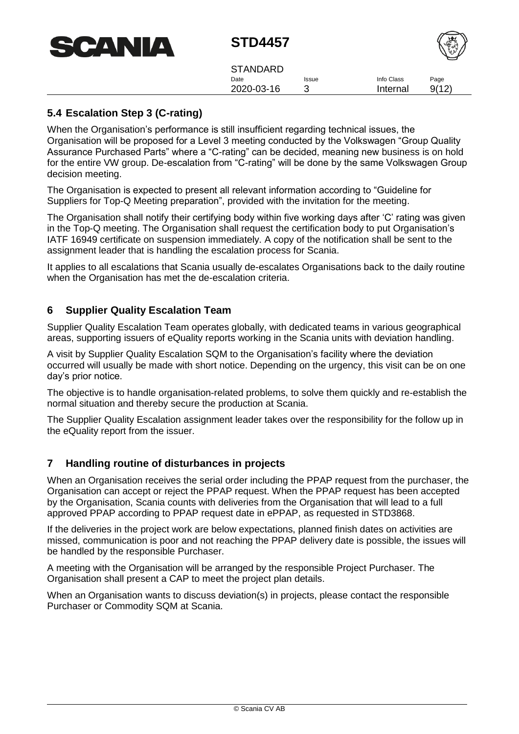

| <b>STANDARD</b> |              |            |       |
|-----------------|--------------|------------|-------|
| Date            | <b>Issue</b> | Info Class | Page  |
| 2020-03-16      |              | Internal   | 9(12) |

## <span id="page-8-0"></span>**5.4 Escalation Step 3 (C-rating)**

When the Organisation's performance is still insufficient regarding technical issues, the Organisation will be proposed for a Level 3 meeting conducted by the Volkswagen "Group Quality Assurance Purchased Parts" where a "C-rating" can be decided, meaning new business is on hold for the entire VW group. De-escalation from "C-rating" will be done by the same Volkswagen Group decision meeting.

The Organisation is expected to present all relevant information according to "Guideline for Suppliers for Top-Q Meeting preparation", provided with the invitation for the meeting.

The Organisation shall notify their certifying body within five working days after 'C' rating was given in the Top-Q meeting. The Organisation shall request the certification body to put Organisation's IATF 16949 certificate on suspension immediately. A copy of the notification shall be sent to the assignment leader that is handling the escalation process for Scania.

<span id="page-8-1"></span>It applies to all escalations that Scania usually de-escalates Organisations back to the daily routine when the Organisation has met the de-escalation criteria.

### **6 Supplier Quality Escalation Team**

Supplier Quality Escalation Team operates globally, with dedicated teams in various geographical areas, supporting issuers of eQuality reports working in the Scania units with deviation handling.

A visit by Supplier Quality Escalation SQM to the Organisation's facility where the deviation occurred will usually be made with short notice. Depending on the urgency, this visit can be on one day's prior notice.

The objective is to handle organisation-related problems, to solve them quickly and re-establish the normal situation and thereby secure the production at Scania.

<span id="page-8-2"></span>The Supplier Quality Escalation assignment leader takes over the responsibility for the follow up in the eQuality report from the issuer.

### **7 Handling routine of disturbances in projects**

When an Organisation receives the serial order including the PPAP request from the purchaser, the Organisation can accept or reject the PPAP request. When the PPAP request has been accepted by the Organisation, Scania counts with deliveries from the Organisation that will lead to a full approved PPAP according to PPAP request date in ePPAP, as requested in STD3868.

If the deliveries in the project work are below expectations, planned finish dates on activities are missed, communication is poor and not reaching the PPAP delivery date is possible, the issues will be handled by the responsible Purchaser.

A meeting with the Organisation will be arranged by the responsible Project Purchaser. The Organisation shall present a CAP to meet the project plan details.

When an Organisation wants to discuss deviation(s) in projects, please contact the responsible Purchaser or Commodity SQM at Scania.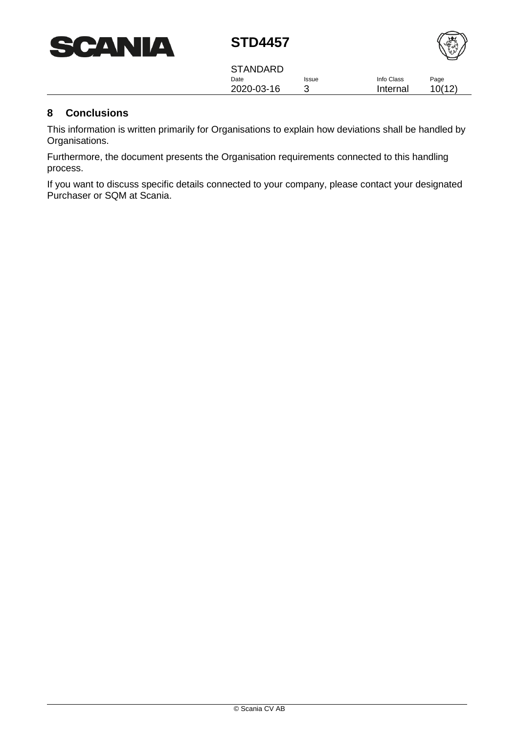



Date 2020-03-16 Issue 3 Info Class Internal Page 10(12) **STANDARD** 

## <span id="page-9-0"></span>**8 Conclusions**

This information is written primarily for Organisations to explain how deviations shall be handled by Organisations.

Furthermore, the document presents the Organisation requirements connected to this handling process.

If you want to discuss specific details connected to your company, please contact your designated Purchaser or SQM at Scania.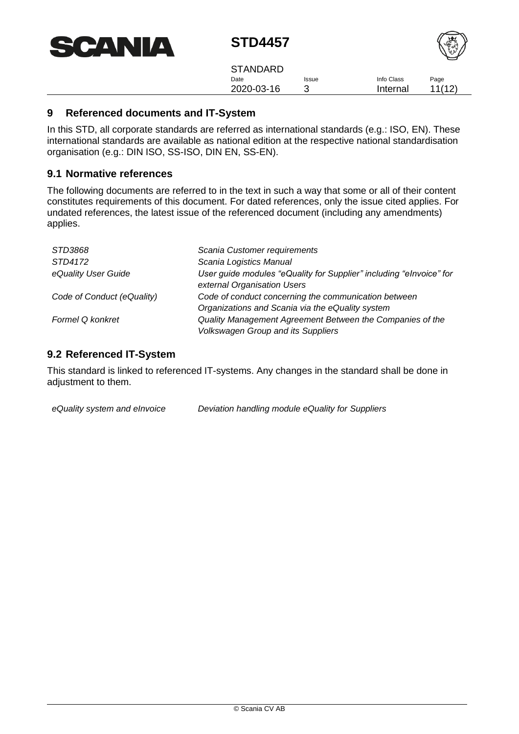| <b>SCANIA</b> |
|---------------|
|---------------|



Date 2020-03-16 Issue 3 Info Class Internal Page 11(12) **STANDARD** 

### <span id="page-10-0"></span>**9 Referenced documents and IT-System**

In this STD, all corporate standards are referred as international standards (e.g.: ISO, EN). These international standards are available as national edition at the respective national standardisation organisation (e.g.: DIN ISO, SS-ISO, DIN EN, SS-EN).

#### <span id="page-10-1"></span>**9.1 Normative references**

The following documents are referred to in the text in such a way that some or all of their content constitutes requirements of this document. For dated references, only the issue cited applies. For undated references, the latest issue of the referenced document (including any amendments) applies.

| STD3868                    | Scania Customer requirements                                                                             |
|----------------------------|----------------------------------------------------------------------------------------------------------|
| STD4172                    | Scania Logistics Manual                                                                                  |
| eQuality User Guide        | User guide modules "eQuality for Supplier" including "elnvoice" for<br>external Organisation Users       |
| Code of Conduct (eQuality) | Code of conduct concerning the communication between<br>Organizations and Scania via the eQuality system |
| <b>Formel Q konkret</b>    | Quality Management Agreement Between the Companies of the<br><b>Volkswagen Group and its Suppliers</b>   |

### <span id="page-10-2"></span>**9.2 Referenced IT-System**

This standard is linked to referenced IT-systems. Any changes in the standard shall be done in adiustment to them.

*eQuality system and eInvoice Deviation handling module eQuality for Suppliers*